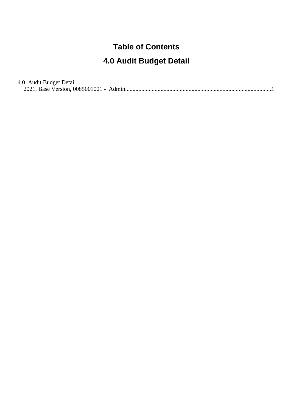## **Table of Contents**

## **4.0 Audit Budget Detail**

| 4.0. Audit Budget Detail |  |
|--------------------------|--|
|                          |  |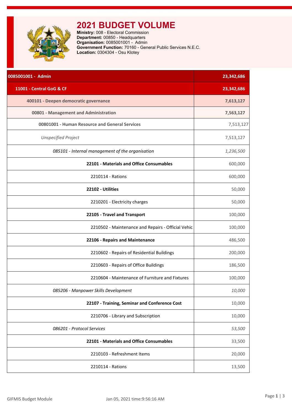<span id="page-1-0"></span>

## **2021 BUDGET VOLUME**

**Ministry:** 008 - Electoral Commission **Department:** 00850 - Headquarters **Organisation:** 0085001001 - Admin **Government Function:** 70160 - General Public Services N.E.C. **Location:** 0304304 - Osu Klotey

| 0085001001 - Admin                                 | 23,342,686 |
|----------------------------------------------------|------------|
| 11001 - Central GoG & CF                           | 23,342,686 |
| 400101 - Deepen democratic governance              | 7,613,127  |
| 00801 - Management and Administration              | 7,563,127  |
| 00801001 - Human Resource and General Services     | 7,513,127  |
| <b>Unspecified Project</b>                         | 7,513,127  |
| 085101 - Internal management of the organisation   | 1,236,500  |
| 22101 - Materials and Office Consumables           | 600,000    |
| 2210114 - Rations                                  | 600,000    |
| 22102 - Utilities                                  | 50,000     |
| 2210201 - Electricity charges                      | 50,000     |
| 22105 - Travel and Transport                       | 100,000    |
| 2210502 - Maintenance and Repairs - Official Vehic | 100,000    |
| 22106 - Repairs and Maintenance                    | 486,500    |
| 2210602 - Repairs of Residential Buildings         | 200,000    |
| 2210603 - Repairs of Office Buildings              | 186,500    |
| 2210604 - Maintenance of Furniture and Fixtures    | 100,000    |
| 085206 - Manpower Skills Development               | 10,000     |
| 22107 - Training, Seminar and Conference Cost      | 10,000     |
| 2210706 - Library and Subscription                 | 10,000     |
| 086201 - Protocol Services                         | 53,500     |
| 22101 - Materials and Office Consumables           | 33,500     |
| 2210103 - Refreshment Items                        | 20,000     |
| 2210114 - Rations                                  | 13,500     |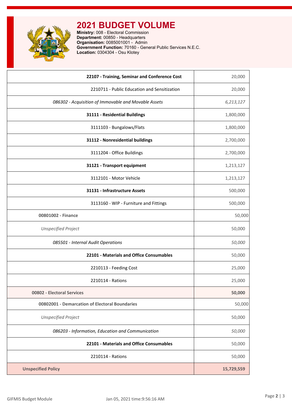**2021 BUDGET VOLUME**

**Ministry:** 008 - Electoral Commission **Department:** 00850 - Headquarters **Organisation:** 0085001001 - Admin **Government Function:** 70160 - General Public Services N.E.C. **Location:** 0304304 - Osu Klotey

| 22107 - Training, Seminar and Conference Cost        | 20,000     |
|------------------------------------------------------|------------|
| 2210711 - Public Education and Sensitization         | 20,000     |
| 086302 - Acquisition of Immovable and Movable Assets | 6,213,127  |
| 31111 - Residential Buildings                        | 1,800,000  |
| 3111103 - Bungalows/Flats                            | 1,800,000  |
| 31112 - Nonresidential buildings                     | 2,700,000  |
| 3111204 - Office Buildings                           | 2,700,000  |
| 31121 - Transport equipment                          | 1,213,127  |
| 3112101 - Motor Vehicle                              | 1,213,127  |
| 31131 - Infrastructure Assets                        | 500,000    |
| 3113160 - WIP - Furniture and Fittings               | 500,000    |
| 00801002 - Finance                                   | 50,000     |
| <b>Unspecified Project</b>                           | 50,000     |
| 085501 - Internal Audit Operations                   | 50,000     |
| 22101 - Materials and Office Consumables             | 50,000     |
| 2210113 - Feeding Cost                               | 25,000     |
| 2210114 - Rations                                    | 25,000     |
| 00802 - Electoral Services                           | 50,000     |
| 00802001 - Demarcation of Electoral Boundaries       | 50,000     |
| <b>Unspecified Project</b>                           | 50,000     |
| 086203 - Information, Education and Communication    | 50,000     |
| 22101 - Materials and Office Consumables             | 50,000     |
| 2210114 - Rations                                    | 50,000     |
| <b>Unspecified Policy</b>                            | 15,729,559 |